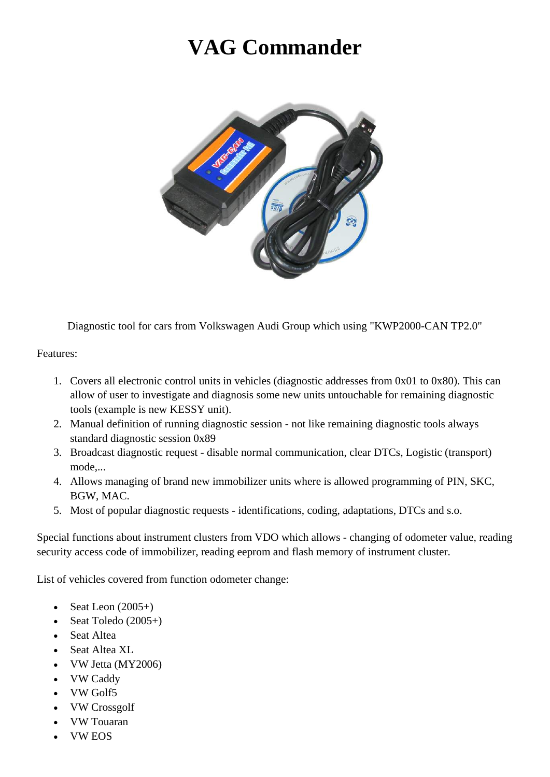## **VAG Commander**



Diagnostic tool for cars from Volkswagen Audi Group which using "KWP2000-CAN TP2.0"

Features:

- 1. Covers all electronic control units in vehicles (diagnostic addresses from 0x01 to 0x80). This can allow of user to investigate and diagnosis some new units untouchable for remaining diagnostic tools (example is new KESSY unit).
- 2. Manual definition of running diagnostic session not like remaining diagnostic tools always standard diagnostic session 0x89
- 3. Broadcast diagnostic request disable normal communication, clear DTCs, Logistic (transport) mode,...
- 4. Allows managing of brand new immobilizer units where is allowed programming of PIN, SKC, BGW, MAC.
- 5. Most of popular diagnostic requests identifications, coding, adaptations, DTCs and s.o.

Special functions about instrument clusters from VDO which allows - changing of odometer value, reading security access code of immobilizer, reading eeprom and flash memory of instrument cluster.

List of vehicles covered from function odometer change:

- Seat Leon  $(2005+)$
- Seat Toledo  $(2005+)$
- Seat Altea
- Seat Altea XL
- VW Jetta (MY2006)
- VW Caddy
- VW Golf5
- VW Crossgolf
- VW Touaran
- VW EOS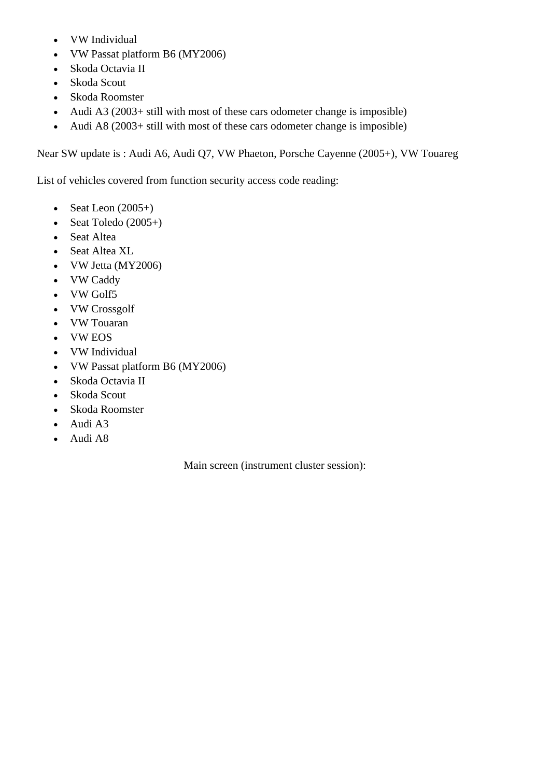- VW Individual
- VW Passat platform B6 (MY2006)
- Skoda Octavia II
- Skoda Scout
- Skoda Roomster
- Audi A3 (2003+ still with most of these cars odometer change is imposible)
- Audi A8 (2003+ still with most of these cars odometer change is imposible)

Near SW update is : Audi A6, Audi Q7, VW Phaeton, Porsche Cayenne (2005+), VW Touareg

List of vehicles covered from function security access code reading:

- Seat Leon  $(2005+)$
- Seat Toledo  $(2005+)$
- Seat Altea
- Seat Altea XL
- VW Jetta (MY2006)
- VW Caddy
- VW Golf5
- VW Crossgolf
- VW Touaran
- VW EOS
- VW Individual
- VW Passat platform B6 (MY2006)
- Skoda Octavia II
- Skoda Scout
- Skoda Roomster
- Audi A3
- Audi A8

Main screen (instrument cluster session):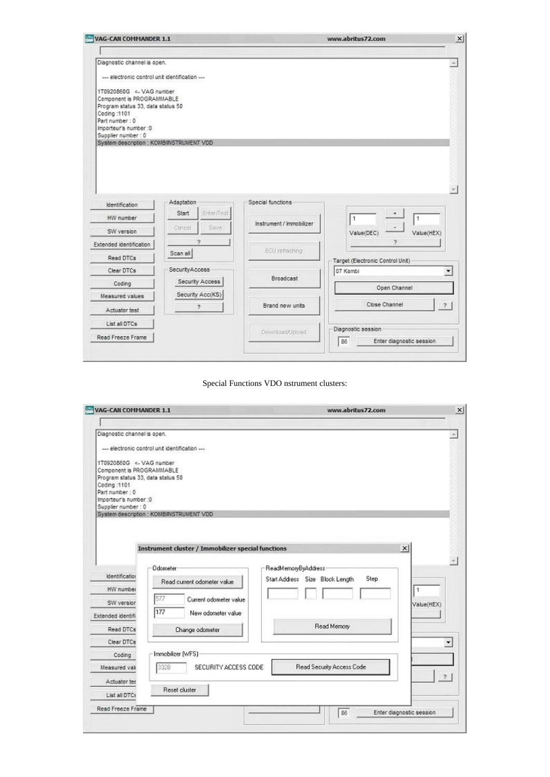| VAG-CAN COMMANDER 1.1                                                                                                        |                                        |                          | www.abritus72.com                                    |
|------------------------------------------------------------------------------------------------------------------------------|----------------------------------------|--------------------------|------------------------------------------------------|
|                                                                                                                              |                                        |                          |                                                      |
| Diagnostic channel is open.                                                                                                  |                                        |                          |                                                      |
| --- electronic control unit identification ---                                                                               |                                        |                          |                                                      |
| 1T0920860G <- VAG number<br>Component is PROGRAMMABLE<br>Program status 33, data status 50<br>Coding: 1101<br>Part number: 0 |                                        |                          |                                                      |
| Importeur's number :0                                                                                                        |                                        |                          |                                                      |
| Supplier number: 0<br>System description : KOMBINSTRUMENT VDD                                                                |                                        |                          |                                                      |
| Identification                                                                                                               | Adaptation                             | Special functions        |                                                      |
|                                                                                                                              |                                        |                          |                                                      |
| HW number<br>SW version                                                                                                      | Enter/Test<br>Start<br>Sove.<br>Cancel | Instrument / Immobilizer | 1<br>1<br>Value(HEX)<br>Value(DEC)                   |
|                                                                                                                              | ð.                                     |                          | ŋ.                                                   |
| Read DTCs                                                                                                                    | Scan all                               | EGJ refleshing           | Target (Electronic Control Unit)                     |
| Clear DTCs                                                                                                                   | Security Access                        |                          | 07 Kombi<br>۰                                        |
| Coding                                                                                                                       | Security Access                        | <b>Broadcast</b>         |                                                      |
| Measured values                                                                                                              | Security Acc(KS)                       |                          | Open Channel                                         |
| Actuator test                                                                                                                | $\overline{ }$                         | Brand new units          | Close Channel<br>$\sigma$                            |
| List all DTCs                                                                                                                |                                        |                          |                                                      |
| Extended identification<br>Read Freeze Frame                                                                                 |                                        | Dewnload/Ubload          | Diagnostic session<br>86<br>Enter diagnostic session |

Special Functions VDO nstrument clusters:

| VAG-CAN COMMANDER 1.1                                                                                     |                                                                                                           | www.abritus72.com                                                     |   |
|-----------------------------------------------------------------------------------------------------------|-----------------------------------------------------------------------------------------------------------|-----------------------------------------------------------------------|---|
|                                                                                                           |                                                                                                           |                                                                       |   |
| Diagnostic channel is open.                                                                               |                                                                                                           |                                                                       | × |
|                                                                                                           | --- electronic control unit identification ---                                                            |                                                                       |   |
| 1T0920860G <- VAG number<br>Coding: 1101<br>Part number: 0<br>Importeur's number :0<br>Supplier number: 0 | Component is PROGRAMMABLE<br>Program status 33, data status 50<br>System description : KOMBINSTRUMENT VDD |                                                                       |   |
|                                                                                                           | Instrument cluster / Immobilizer special functions                                                        | $\times$                                                              |   |
| Identification                                                                                            | <b>Odometer</b>                                                                                           | ReadMemoryByAddress<br><b>Step</b><br>Start Address Size Block Length |   |
| HW number                                                                                                 | Read current odometer value                                                                               | 1                                                                     |   |
| SW version                                                                                                | 577<br>Current odometer value                                                                             |                                                                       |   |
|                                                                                                           | 177<br>New odometer value                                                                                 | Value(HEX)                                                            |   |
| Extended identifi-                                                                                        |                                                                                                           | Read Memory                                                           |   |
| Read DTCs                                                                                                 | Change odometer                                                                                           |                                                                       |   |
| Clear DTCs                                                                                                |                                                                                                           |                                                                       | ٠ |
| Coding                                                                                                    | Immobilizer (WFS)                                                                                         |                                                                       |   |
| Measured val                                                                                              | SECURITY ACCESS CODE<br>3328                                                                              | Read Security Access Code                                             |   |
| Actuator ter                                                                                              |                                                                                                           |                                                                       |   |
| List all DTCs                                                                                             | Reset cluster                                                                                             |                                                                       |   |
| Read Freeze Frame                                                                                         |                                                                                                           | Enter diagnostic session                                              |   |
|                                                                                                           |                                                                                                           | 86                                                                    |   |